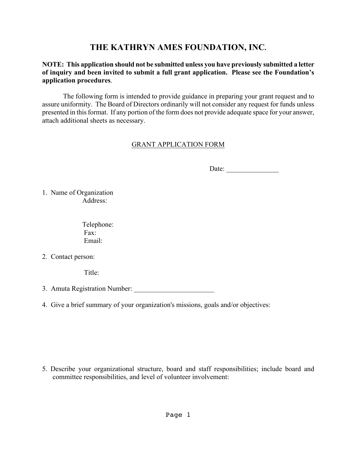# **THE KATHRYN AMES FOUNDATION, INC.**

#### **NOTE: This application should not be submitted unless you have previously submitted a letter of inquiry and been invited to submit a full grant application. Please see the Foundation's application procedures**.

The following form is intended to provide guidance in preparing your grant request and to assure uniformity. The Board of Directors ordinarily will not consider any request for funds unless presented in this format. If any portion of the form does not provide adequate space for your answer, attach additional sheets as necessary.

## GRANT APPLICATION FORM

Date:

1. Name of Organization Address:

> Telephone: Fax: Email:

2. Contact person:

Title<sup>.</sup>

- 3. Amuta Registration Number:
- 4. Give a brief summary of your organization's missions, goals and/or objectives:

5. Describe your organizational structure, board and staff responsibilities; include board and committee responsibilities, and level of volunteer involvement: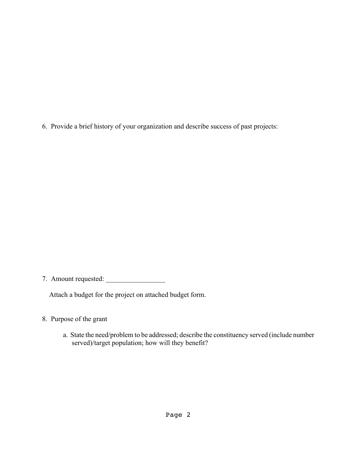6. Provide a brief history of your organization and describe success of past projects:

7. Amount requested: \_\_\_\_\_\_\_\_\_\_\_\_\_\_\_\_\_

Attach a budget for the project on attached budget form.

- 8. Purpose of the grant
	- a. State the need/problem to be addressed; describe the constituency served (include number served)/target population; how will they benefit?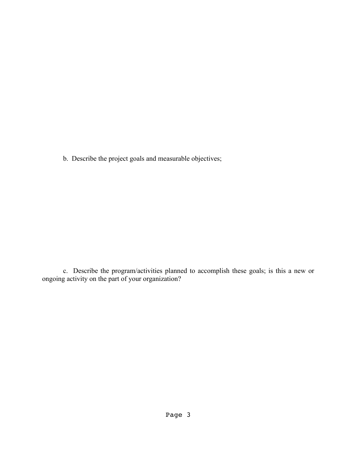b. Describe the project goals and measurable objectives;

c. Describe the program/activities planned to accomplish these goals; is this a new or ongoing activity on the part of your organization?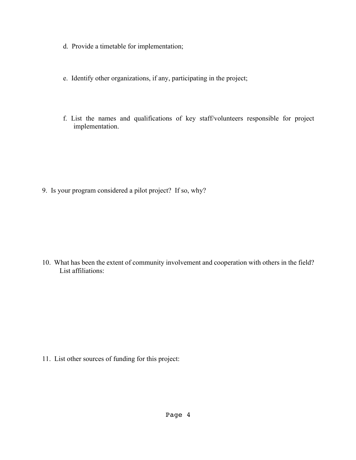- d. Provide a timetable for implementation;
- e. Identify other organizations, if any, participating in the project;
- f. List the names and qualifications of key staff/volunteers responsible for project implementation.

9. Is your program considered a pilot project? If so, why?

10. What has been the extent of community involvement and cooperation with others in the field? List affiliations:

11. List other sources of funding for this project: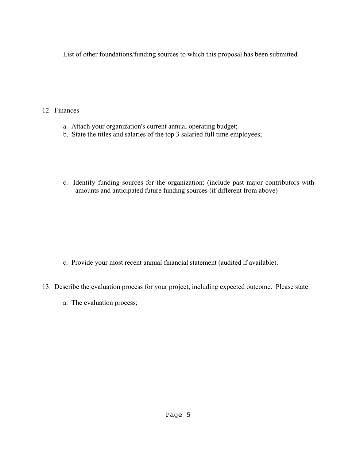List of other foundations/funding sources to which this proposal has been submitted.

12. Finances

- a. Attach your organization's current annual operating budget;
- b. State the titles and salaries of the top 3 salaried full time employees;
- c. Identify funding sources for the organization: (include past major contributors with amounts and anticipated future funding sources (if different from above)

- c. Provide your most recent annual financial statement (audited if available).
- 13. Describe the evaluation process for your project, including expected outcome. Please state:
	- a. The evaluation process;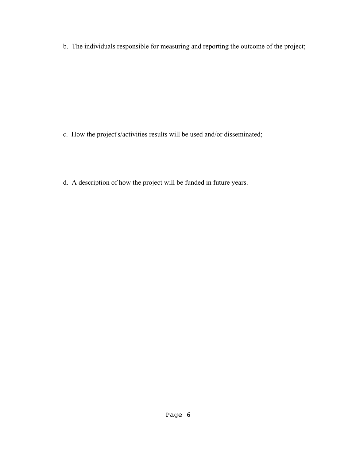b. The individuals responsible for measuring and reporting the outcome of the project;

- c. How the project's/activities results will be used and/or disseminated;
- d. A description of how the project will be funded in future years.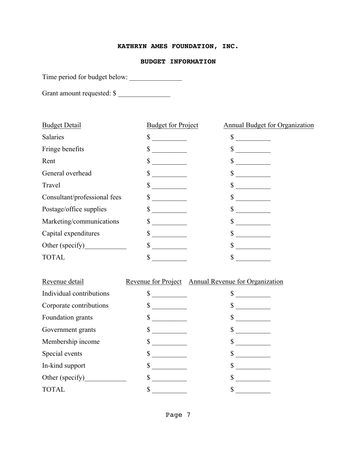## **KATHRYN AMES FOUNDATION, INC.**

#### **BUDGET INFORMATION**

Time period for budget below: \_\_\_\_\_\_\_\_\_\_\_\_\_\_\_

Grant amount requested: \$

| <b>Budget Detail</b>         | <b>Budget for Project</b> | Annual Budget for Organization |  |
|------------------------------|---------------------------|--------------------------------|--|
| <b>Salaries</b>              | \$                        | \$                             |  |
| Fringe benefits              |                           | \$                             |  |
| Rent                         |                           | \$                             |  |
| General overhead             |                           | \$                             |  |
| Travel                       |                           | \$                             |  |
| Consultant/professional fees | \$                        | \$                             |  |
| Postage/office supplies      | \$                        | \$                             |  |
| Marketing/communications     |                           | \$                             |  |
| Capital expenditures         |                           | \$                             |  |
| Other (specify)              |                           | \$                             |  |
| <b>TOTAL</b>                 |                           |                                |  |
|                              |                           |                                |  |

| Revenue detail           | Revenue for Project Annual Revenue for Organization |
|--------------------------|-----------------------------------------------------|
| Individual contributions |                                                     |
| Corporate contributions  |                                                     |
| Foundation grants        |                                                     |
| Government grants        |                                                     |
| Membership income        |                                                     |
| Special events           |                                                     |
| In-kind support          |                                                     |
| Other (specify)          |                                                     |
| <b>TOTAL</b>             |                                                     |
|                          |                                                     |